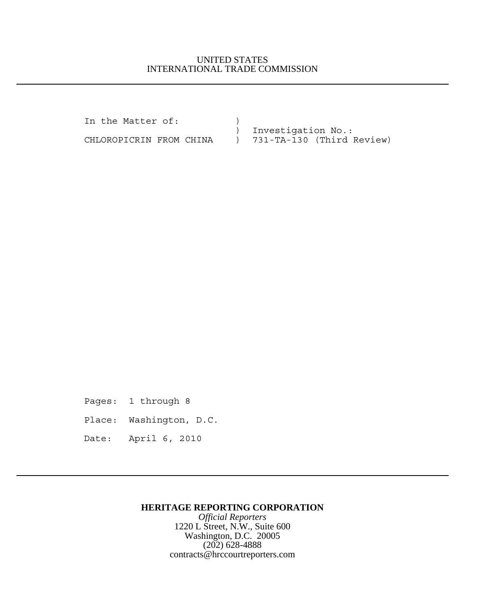## UNITED STATES INTERNATIONAL TRADE COMMISSION

In the Matter of:  $)$  ) Investigation No.: CHLOROPICRIN FROM CHINA ) 731-TA-130 (Third Review)

Pages: 1 through 8

Place: Washington, D.C.

Date: April 6, 2010

## **HERITAGE REPORTING CORPORATION**

*Official Reporters* 1220 L Street, N.W., Suite 600 Washington, D.C. 20005 (202) 628-4888 contracts@hrccourtreporters.com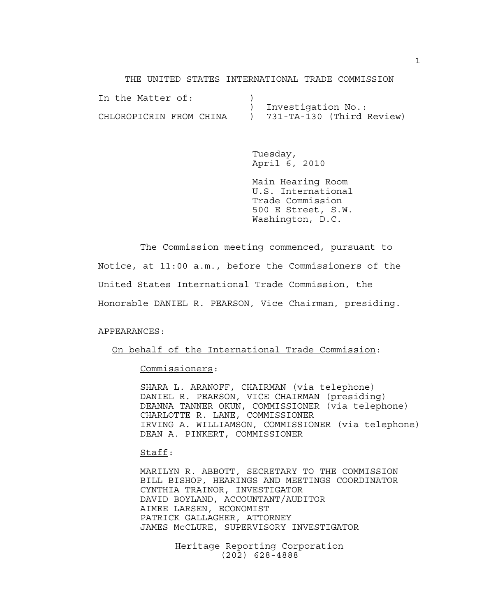THE UNITED STATES INTERNATIONAL TRADE COMMISSION

| In the Matter of:       |                               |
|-------------------------|-------------------------------|
|                         | Investigation No.:            |
| CHLOROPICRIN FROM CHINA | $)$ 731-TA-130 (Third Review) |

Tuesday, April 6, 2010

Main Hearing Room U.S. International Trade Commission 500 E Street, S.W. Washington, D.C.

The Commission meeting commenced, pursuant to Notice, at 11:00 a.m., before the Commissioners of the United States International Trade Commission, the Honorable DANIEL R. PEARSON, Vice Chairman, presiding.

### APPEARANCES:

### On behalf of the International Trade Commission:

## Commissioners:

SHARA L. ARANOFF, CHAIRMAN (via telephone) DANIEL R. PEARSON, VICE CHAIRMAN (presiding) DEANNA TANNER OKUN, COMMISSIONER (via telephone) CHARLOTTE R. LANE, COMMISSIONER IRVING A. WILLIAMSON, COMMISSIONER (via telephone) DEAN A. PINKERT, COMMISSIONER

#### Staff:

MARILYN R. ABBOTT, SECRETARY TO THE COMMISSION BILL BISHOP, HEARINGS AND MEETINGS COORDINATOR CYNTHIA TRAINOR, INVESTIGATOR DAVID BOYLAND, ACCOUNTANT/AUDITOR AIMEE LARSEN, ECONOMIST PATRICK GALLAGHER, ATTORNEY JAMES McCLURE, SUPERVISORY INVESTIGATOR

> Heritage Reporting Corporation (202) 628-4888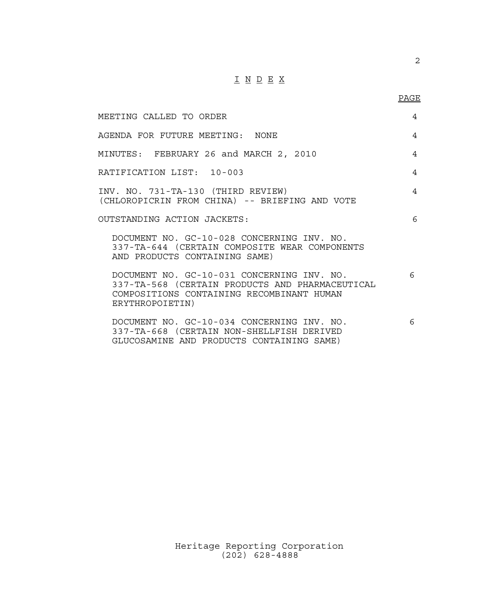# $\underline{\texttt{I}} \underline{\texttt{N}} \underline{\texttt{D}} \underline{\texttt{E}} \underline{\texttt{X}}$

PAGE

2

| MEETING CALLED TO ORDER                                                                                                                                       | $\overline{4}$ |
|---------------------------------------------------------------------------------------------------------------------------------------------------------------|----------------|
| AGENDA FOR FUTURE MEETING: NONE                                                                                                                               | $\overline{4}$ |
| MINUTES: FEBRUARY 26 and MARCH 2, 2010                                                                                                                        | 4              |
| RATIFICATION LIST: 10-003                                                                                                                                     | $\overline{4}$ |
| INV. NO. 731-TA-130 (THIRD REVIEW)<br>(CHLOROPICRIN FROM CHINA) -- BRIEFING AND VOTE                                                                          | $\overline{4}$ |
| OUTSTANDING ACTION JACKETS:                                                                                                                                   | 6              |
| DOCUMENT NO. GC-10-028 CONCERNING INV. NO.<br>337-TA-644 (CERTAIN COMPOSITE WEAR COMPONENTS<br>AND PRODUCTS CONTAINING SAME)                                  |                |
| DOCUMENT NO. GC-10-031 CONCERNING INV. NO.<br>337-TA-568 (CERTAIN PRODUCTS AND PHARMACEUTICAL<br>COMPOSITIONS CONTAINING RECOMBINANT HUMAN<br>ERYTHROPOIETIN) | 6              |
| DOCUMENT NO. GC-10-034 CONCERNING INV. NO.<br>337-TA-668 (CERTAIN NON-SHELLFISH DERIVED<br>GLUCOSAMINE AND PRODUCTS CONTAINING SAME)                          | 6              |

Heritage Reporting Corporation (202) 628-4888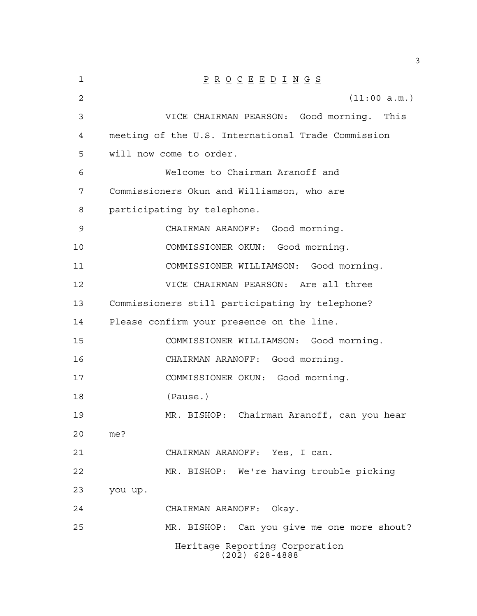| 1  | $\underline{P} \underline{R} \underline{O} \underline{C} \underline{E} \underline{E} \underline{D} \underline{I} \underline{N} \underline{G} \underline{S}$ |
|----|-------------------------------------------------------------------------------------------------------------------------------------------------------------|
| 2  | (11:00 a.m.)                                                                                                                                                |
| 3  | VICE CHAIRMAN PEARSON: Good morning. This                                                                                                                   |
| 4  | meeting of the U.S. International Trade Commission                                                                                                          |
| 5  | will now come to order.                                                                                                                                     |
| 6  | Welcome to Chairman Aranoff and                                                                                                                             |
| 7  | Commissioners Okun and Williamson, who are                                                                                                                  |
| 8  | participating by telephone.                                                                                                                                 |
| 9  | CHAIRMAN ARANOFF: Good morning.                                                                                                                             |
| 10 | COMMISSIONER OKUN: Good morning.                                                                                                                            |
| 11 | COMMISSIONER WILLIAMSON: Good morning.                                                                                                                      |
| 12 | VICE CHAIRMAN PEARSON: Are all three                                                                                                                        |
| 13 | Commissioners still participating by telephone?                                                                                                             |
| 14 | Please confirm your presence on the line.                                                                                                                   |
| 15 | COMMISSIONER WILLIAMSON: Good morning.                                                                                                                      |
| 16 | CHAIRMAN ARANOFF: Good morning.                                                                                                                             |
| 17 | COMMISSIONER OKUN: Good morning.                                                                                                                            |
| 18 | (Pause.)                                                                                                                                                    |
| 19 | MR. BISHOP: Chairman Aranoff, can you hear                                                                                                                  |
| 20 | me?                                                                                                                                                         |
| 21 | CHAIRMAN ARANOFF: Yes, I can.                                                                                                                               |
| 22 | MR. BISHOP: We're having trouble picking                                                                                                                    |
| 23 | you up.                                                                                                                                                     |
| 24 | CHAIRMAN ARANOFF: Okay.                                                                                                                                     |
| 25 | MR. BISHOP: Can you give me one more shout?                                                                                                                 |
|    | Heritage Reporting Corporation<br>$(202)$ 628-4888                                                                                                          |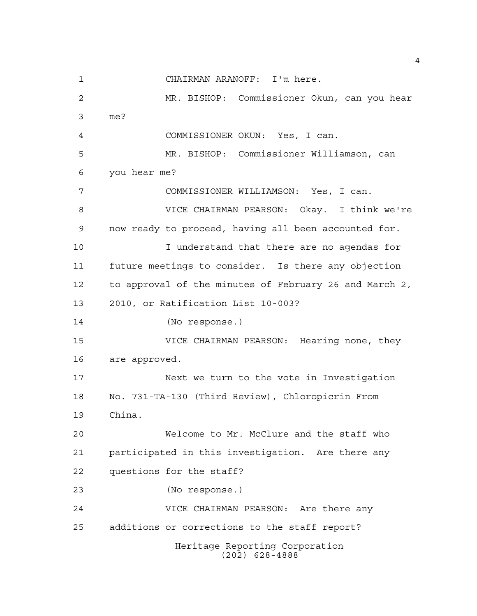Heritage Reporting Corporation (202) 628-4888 CHAIRMAN ARANOFF: I'm here. MR. BISHOP: Commissioner Okun, can you hear me? COMMISSIONER OKUN: Yes, I can. MR. BISHOP: Commissioner Williamson, can you hear me? COMMISSIONER WILLIAMSON: Yes, I can. VICE CHAIRMAN PEARSON: Okay. I think we're now ready to proceed, having all been accounted for. I understand that there are no agendas for future meetings to consider. Is there any objection to approval of the minutes of February 26 and March 2, 2010, or Ratification List 10-003? (No response.) VICE CHAIRMAN PEARSON: Hearing none, they are approved. Next we turn to the vote in Investigation No. 731-TA-130 (Third Review), Chloropicrin From China. Welcome to Mr. McClure and the staff who participated in this investigation. Are there any questions for the staff? (No response.) VICE CHAIRMAN PEARSON: Are there any additions or corrections to the staff report?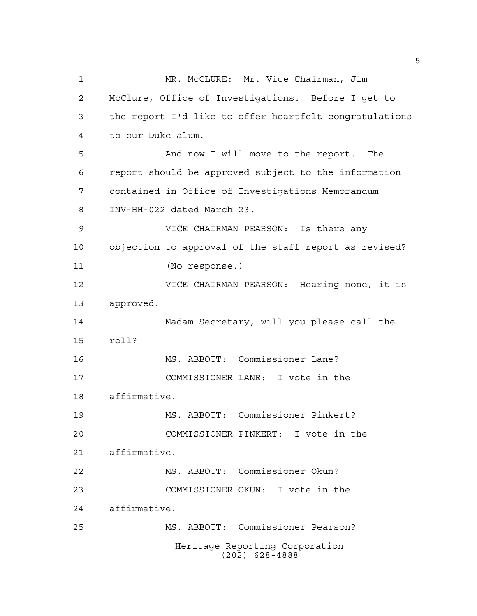Heritage Reporting Corporation (202) 628-4888 1 MR. McCLURE: Mr. Vice Chairman, Jim McClure, Office of Investigations. Before I get to the report I'd like to offer heartfelt congratulations to our Duke alum. And now I will move to the report. The report should be approved subject to the information contained in Office of Investigations Memorandum INV-HH-022 dated March 23. VICE CHAIRMAN PEARSON: Is there any objection to approval of the staff report as revised? (No response.) VICE CHAIRMAN PEARSON: Hearing none, it is approved. Madam Secretary, will you please call the roll? MS. ABBOTT: Commissioner Lane? COMMISSIONER LANE: I vote in the affirmative. MS. ABBOTT: Commissioner Pinkert? COMMISSIONER PINKERT: I vote in the affirmative. MS. ABBOTT: Commissioner Okun? COMMISSIONER OKUN: I vote in the affirmative. MS. ABBOTT: Commissioner Pearson?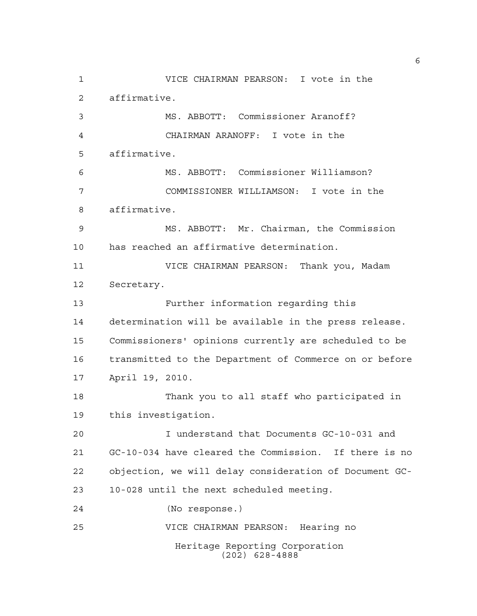Heritage Reporting Corporation (202) 628-4888 VICE CHAIRMAN PEARSON: I vote in the affirmative. MS. ABBOTT: Commissioner Aranoff? CHAIRMAN ARANOFF: I vote in the affirmative. MS. ABBOTT: Commissioner Williamson? COMMISSIONER WILLIAMSON: I vote in the affirmative. MS. ABBOTT: Mr. Chairman, the Commission has reached an affirmative determination. VICE CHAIRMAN PEARSON: Thank you, Madam Secretary. Further information regarding this determination will be available in the press release. Commissioners' opinions currently are scheduled to be transmitted to the Department of Commerce on or before April 19, 2010. Thank you to all staff who participated in this investigation. I understand that Documents GC-10-031 and GC-10-034 have cleared the Commission. If there is no objection, we will delay consideration of Document GC- 10-028 until the next scheduled meeting. (No response.) VICE CHAIRMAN PEARSON: Hearing no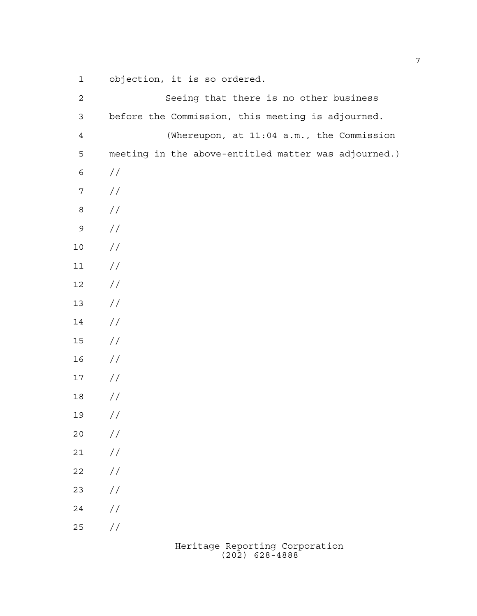objection, it is so ordered.

| $\mathbf 2$      | Seeing that there is no other business               |
|------------------|------------------------------------------------------|
| $\mathfrak{Z}$   | before the Commission, this meeting is adjourned.    |
| $\sqrt{4}$       | (Whereupon, at 11:04 a.m., the Commission            |
| 5                | meeting in the above-entitled matter was adjourned.) |
| $\epsilon$       | $\frac{1}{2}$                                        |
| $\boldsymbol{7}$ | $\frac{1}{2}$                                        |
| $\,8\,$          | //                                                   |
| $\mathsf 9$      | //                                                   |
| $10$             | //                                                   |
| $11$             | $\frac{1}{2}$                                        |
| $12$             | //                                                   |
| $13$             | //                                                   |
| 14               | //                                                   |
| 15               | //                                                   |
| 16               | //                                                   |
| $17$             | //                                                   |
| 18               | //                                                   |
| 19               | $\frac{1}{2}$                                        |
| 20               | $\frac{1}{2}$                                        |
| 21               | $\frac{1}{2}$                                        |
| 22               | $\frac{1}{2}$                                        |
| 23               | $\frac{1}{2}$                                        |
| 24               | $\frac{1}{2}$                                        |
| 25               | $\frac{1}{2}$                                        |
|                  | Heritage Reporting Corporation                       |

(202) 628-4888